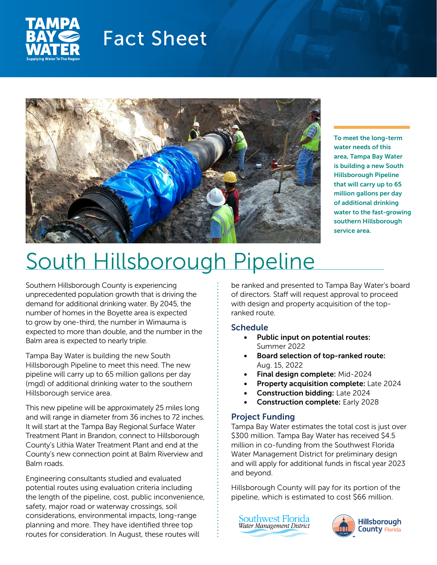

## Fact Sheet



To meet the long-term water needs of this area, Tampa Bay Water is building a new South Hillsborough Pipeline that will carry up to 65 million gallons per day of additional drinking water to the fast-growing southern Hillsborough service area.

# South Hillsborough Pipeline

Southern Hillsborough County is experiencing unprecedented population growth that is driving the demand for additional drinking water. By 2045, the number of homes in the Boyette area is expected to grow by one-third, the number in Wimauma is expected to more than double, and the number in the Balm area is expected to nearly triple.

Tampa Bay Water is building the new South Hillsborough Pipeline to meet this need. The new pipeline will carry up to 65 million gallons per day (mgd) of additional drinking water to the southern Hillsborough service area.

This new pipeline will be approximately 25 miles long and will range in diameter from 36 inches to 72 inches. It will start at the Tampa Bay Regional Surface Water Treatment Plant in Brandon, connect to Hillsborough County's Lithia Water Treatment Plant and end at the County's new connection point at Balm Riverview and Balm roads.

Engineering consultants studied and evaluated potential routes using evaluation criteria including the length of the pipeline, cost, public inconvenience, safety, major road or waterway crossings, soil considerations, environmental impacts, long-range planning and more. They have identified three top routes for consideration. In August, these routes will

be ranked and presented to Tampa Bay Water's board of directors. Staff will request approval to proceed with design and property acquisition of the topranked route.

### **Schedule**

- Public input on potential routes: Summer 2022
- Board selection of top-ranked route: Aug. 15, 2022
- Final design complete: Mid-2024
- Property acquisition complete: Late 2024
- Construction bidding: Late 2024
- Construction complete: Early 2028

#### Project Funding

Tampa Bay Water estimates the total cost is just over \$300 million. Tampa Bay Water has received \$4.5 million in co-funding from the Southwest Florida Water Management District for preliminary design and will apply for additional funds in fiscal year 2023 and beyond.

Hillsborough County will pay for its portion of the pipeline, which is estimated to cost \$66 million.